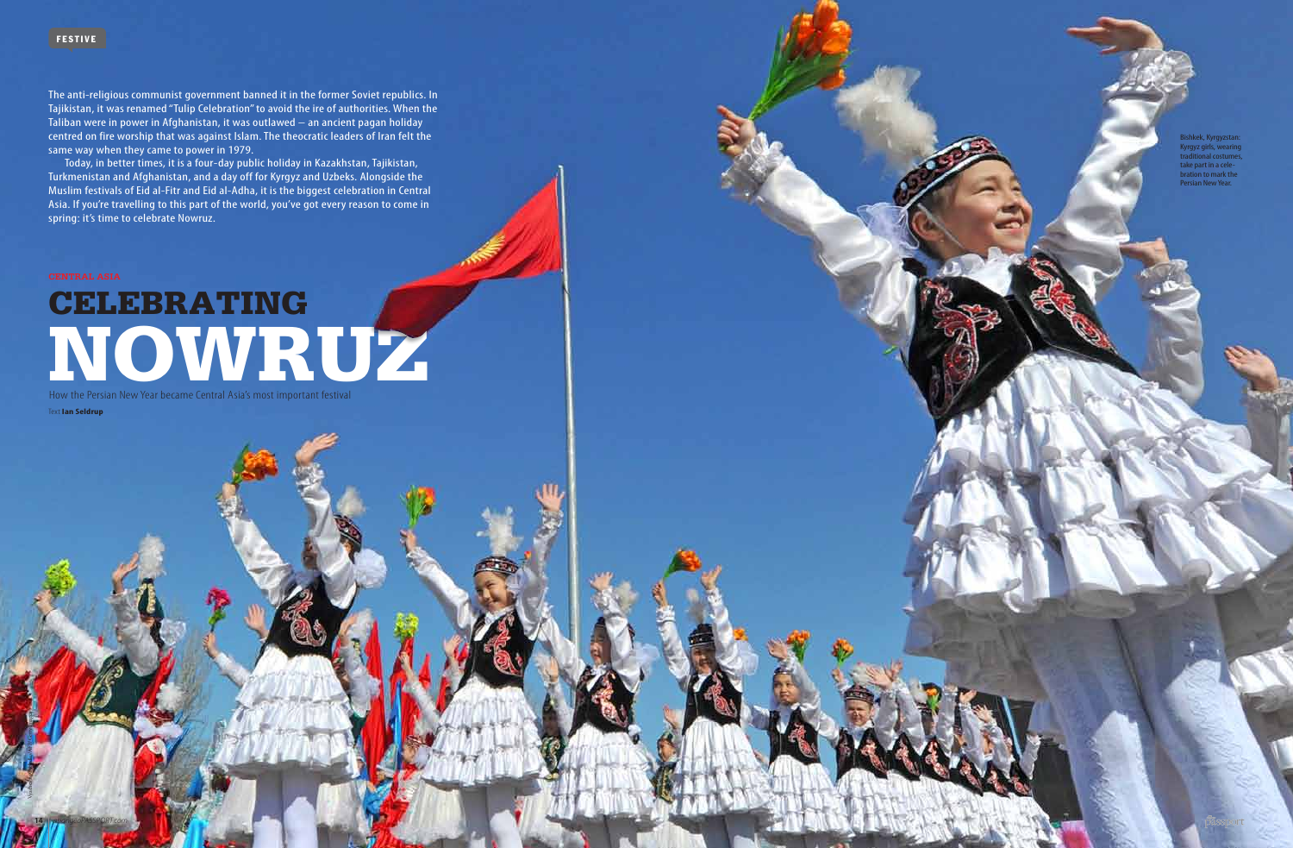**14** *asiangeopassport.com*

## CELEBRATING<br>NONDRATING

How the Persian New Year became Central Asia's most important festival Text **Ian Seldrup**

The anti-religious communist government banned it in the former Soviet republics. In Tajikistan, it was renamed "Tulip Celebration" to avoid the ire of authorities. When the Taliban were in power in Afghanistan, it was outlawed – an ancient pagan holiday centred on fire worship that was against Islam. The theocratic leaders of Iran felt the same way when they came to power in 1979.

Today, in better times, it is a four-day public holiday in Kazakhstan, Tajikistan, Turkmenistan and Afghanistan, and a day off for Kyrgyz and Uzbeks. Alongside the Muslim festivals of Eid al-Fitr and Eid al-Adha, it is the biggest celebration in Central Asia. If you're travelling to this part of the world, you've got every reason to come in spring: it's time to celebrate Nowruz.

Vyacheslav Oseledko/AFP/Getty Images

Bishkek, Kyrgyzstan: Kyrgyz girls, wearing traditional costumes, take part in a celebration to mark the Persian New Year.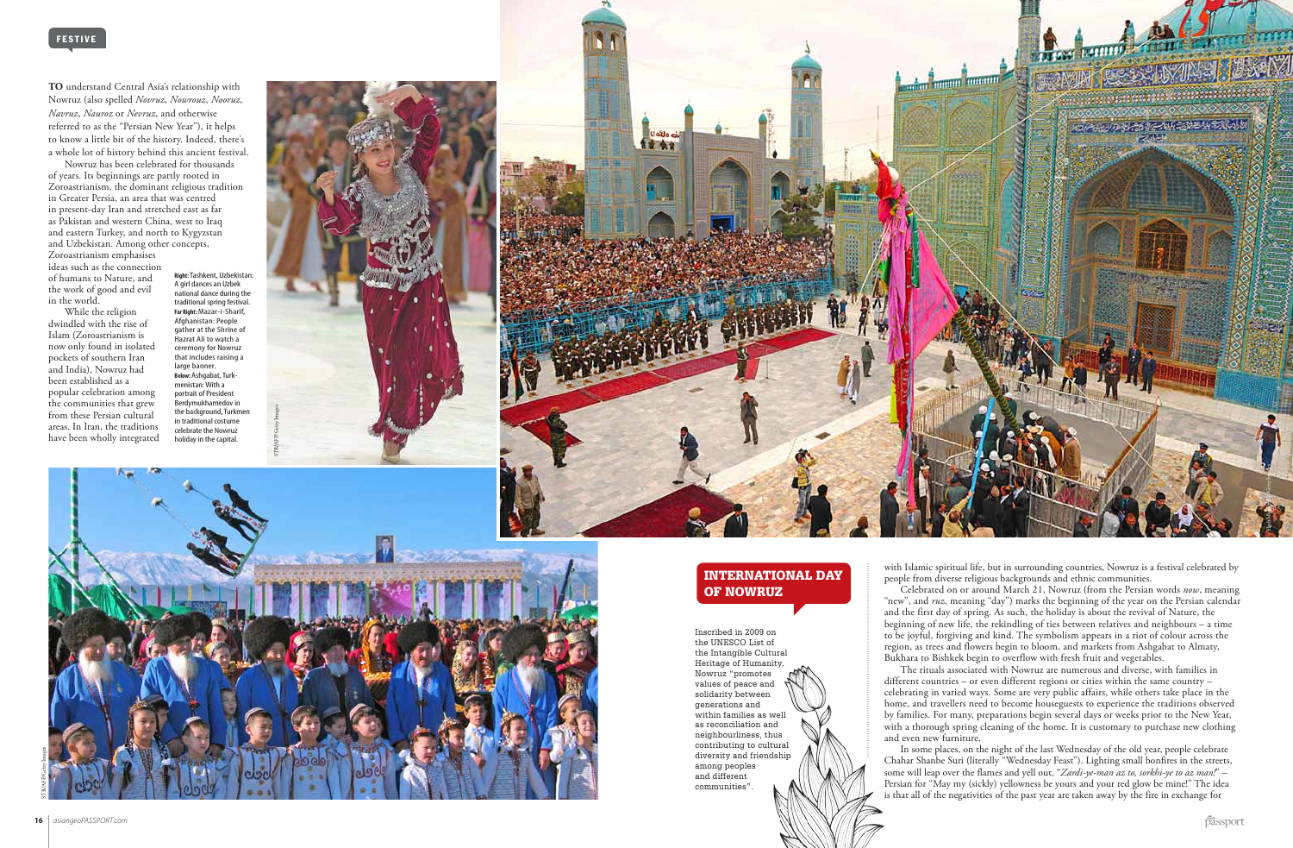**To** understand Central Asia's relationship with Nowruz (also spelled *Novruz*, *Nowrouz*, *Nooruz*, *Navruz*, *Nauroz* or *Nevruz*, and otherwise referred to as the "Persian New Year"), it helps to know a little bit of the history. Indeed, there's a whole lot of history behind this ancient festival.

Nowruz has been celebrated for thousands of years. Its beginnings are partly rooted in Zoroastrianism, the dominant religious tradition in Greater Persia, an area that was centred in present-day Iran and stretched east as far as Pakistan and western China, west to Iraq and eastern Turkey, and north to Kygyzstan and Uzbekistan. Among other concepts, Zoroastrianism emphasises ideas such as the connection of humans to Nature, and the work of good and evil

in the world. While the religion dwindled with the rise of Islam (Zoroastrianism is now only found in isolated pockets of southern Iran and India), Nowruz had been established as a popular celebration among the communities that grew from these Persian cultural

areas. In Iran, the traditions have been wholly integrated

> with Islamic spiritual life, but in surrounding countries, Nowruz is a festival celebrated by people from diverse religious backgrounds and ethnic communities.

> Celebrated on or around March 21, Nowruz (from the Persian words *now*, meaning "new", and *ruz*, meaning "day") marks the beginning of the year on the Persian calendar and the first day of spring. As such, the holiday is about the revival of Nature, the beginning of new life, the rekindling of ties between relatives and neighbours – a time to be joyful, forgiving and kind. The symbolism appears in a riot of colour across the region, as trees and flowers begin to bloom, and markets from Ashgabat to Almaty, Bukhara to Bishkek begin to overflow with fresh fruit and vegetables.

The rituals associated with Nowruz are numerous and diverse, with families in different countries – or even different regions or cities within the same country – celebrating in varied ways. Some are very public affairs, while others take place in the home, and travellers need to become houseguests to experience the traditions observed by families. For many, preparations begin several days or weeks prior to the New Year, with a thorough spring cleaning of the home. It is customary to purchase new clothing and even new furniture.

In some places, on the night of the last Wednesday of the old year, people celebrate Chahar Shanbe Suri (literally "Wednesday Feast"). Lighting small bonfires in the streets, some will leap over the flames and yell out, "*Zardi-ye-man az to, sorkhi-ye to az man!*" – Persian for "May my (sickly) yellowness be yours and your red glow be mine!" The idea is that all of the negativities of the past year are taken away by the fire in exchange for

## International Day of Nowruz

Inscribed in 2009 on the UNESCO List of the Intangible Cultural Heritage of Humanity, Nowruz "promotes values of peace and solidarity between generations and within families as well as reconciliation and neighbourliness, thus contributing to cultural diversity and friendship among peoples and different communities".

**Right:** Tashkent, Uzbekistan: A girl dances an Uzbek national dance during the traditional spring festival. **Far Right:** Mazar-i-Sharif, Afghanistan: People gather at the Shrine of Hazrat Ali to watch a ceremony for Nowruz that includes raising a large banner. **Below:** Ashgabat, Turkmenistan: With a portrait of President Berdymukhamedov in the background, Turkmen in traditional costume celebrate the Nowruz holiday in the capital.